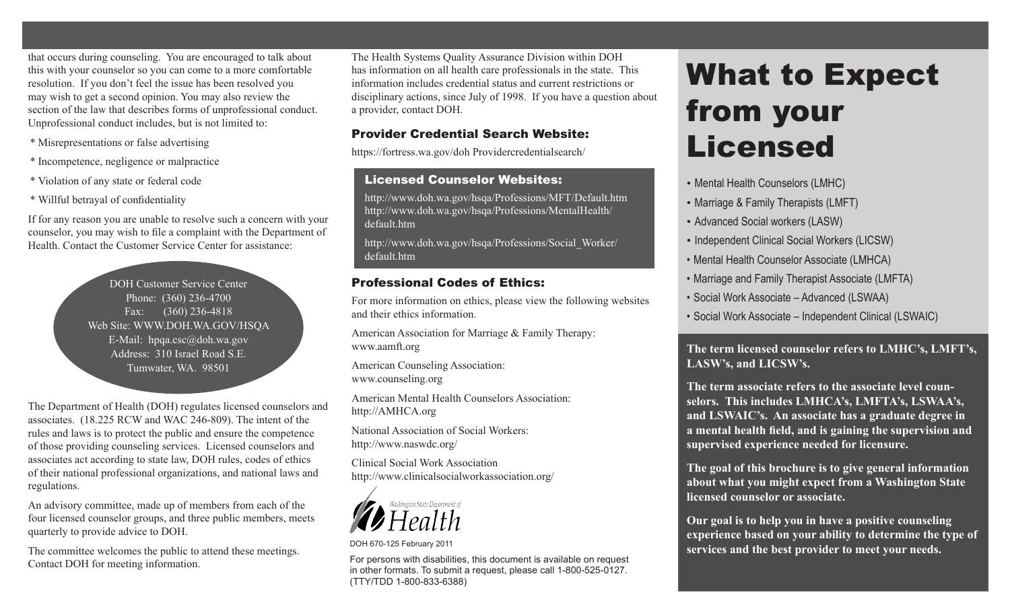that occurs during counseling. You are encouraged to talk about this with your counselor so you can come to a more comfortable resolution. If you don't feel the issue has been resolved you may wish to get a second opinion. You may also review the section of the law that describes forms of unprofessional conduct. Unprofessional conduct includes, but is not limited to:

- \* Misrepresentations or false advertising
- \* Incompetence, negligence or malpractice
- \* Violation of any state or federal code
- \* Willful betrayal of confidentiality

If for any reason you are unable to resolve such a concern with your counselor, you may wish to file a complaint with the Department of Health. Contact the Customer Service Center for assistance:

> DOH Customer Service Center Phone: (360) 236-4700 Fax: (360) 236-4818 Web Site: WWW.DOH.WA.GOV/HSQA E-Mail: hpqa.csc@doh.wa.gov Address: 310 Israel Road S.E. Tumwater, WA. 98501

The Department of Health (DOH) regulates licensed counselors and associates. (18.225 RCW and WAC 246-809). The intent of the rules and laws is to protect the public and ensure the competence of those providing counseling services. Licensed counselors and associates act according to state law, DOH rules, codes of ethics of their national professional organizations, and national laws and regulations.

An advisory committee, made up of members from each of the four licensed counselor groups, and three public members, meets quarterly to provide advice to DOH.

The committee welcomes the public to attend these meetings. Contact DOH for meeting information.

The Health Systems Quality Assurance Division within DOH has information on all health care professionals in the state. This information includes credential status and current restrictions or disciplinary actions, since July of 1998. If you have a question about a provider, contact DOH.

## Provider Credential Search Website:

https://fortress.wa.gov/doh Providercredentialsearch/

## Licensed Counselor Websites:

http://www.doh.wa.gov/hsqa/Professions/MFT/Default.htm http://www.doh.wa.gov/hsqa/Professions/MentalHealth/ default.htm

http://www.doh.wa.gov/hsqa/Professions/Social\_Worker/ default.htm

# Professional Codes of Ethics:

For more information on ethics, please view the following websites and their ethics information.

American Association for Marriage & Family Therapy: www.aamft.org

American Counseling Association: www.counseling.org

American Mental Health Counselors Association: http://AMHCA.org

National Association of Social Workers: http://www.naswdc.org/

Clinical Social Work Association http://www.clinicalsocialworkassociation.org/



DOH 670-125 February 2011

For persons with disabilities, this document is available on request in other formats. To submit a request, please call 1-800-525-0127. (TTY/TDD 1-800-833-6388)

# What to Expect from your Licensed

- Mental Health Counselors (LMHC)
- Marriage & Family Therapists (LMFT)
- Advanced Social workers (LASW)
- Independent Clinical Social Workers (LICSW)
- • Mental Health Counselor Associate (LMHCA)
- Marriage and Family Therapist Associate (LMFTA)
- • Social Work Associate Advanced (LSWAA)
- • Social Work Associate Independent Clinical (LSWAIC)

**The term licensed counselor refers to LMHC's, LMFT's, LASW's, and LICSW's.** 

**The term associate refers to the associate level counselors. This includes LMHCA's, LMFTA's, LSWAA's, and LSWAIC's. An associate has a graduate degree in a mental health field, and is gaining the supervision and supervised experience needed for licensure.**

**The goal of this brochure is to give general information about what you might expect from a Washington State licensed counselor or associate.** 

**Our goal is to help you in have a positive counseling experience based on your ability to determine the type of services and the best provider to meet your needs.**